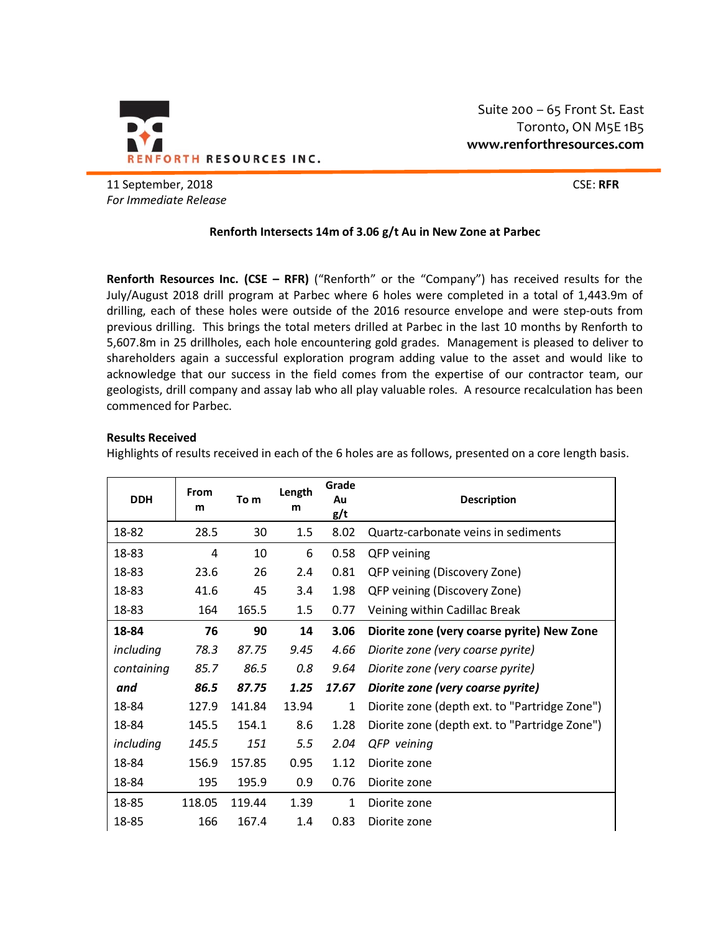

Suite 200 – 65 Front St. East Toronto, ON M5E 1B5 **www.renforthresources.com**

11 September, 2018 CSE: **RFR** *For Immediate Release*

# **Renforth Intersects 14m of 3.06 g/t Au in New Zone at Parbec**

**Renforth Resources Inc. (CSE – RFR)** ("Renforth" or the "Company") has received results for the July/August 2018 drill program at Parbec where 6 holes were completed in a total of 1,443.9m of drilling, each of these holes were outside of the 2016 resource envelope and were step-outs from previous drilling. This brings the total meters drilled at Parbec in the last 10 months by Renforth to 5,607.8m in 25 drillholes, each hole encountering gold grades. Management is pleased to deliver to shareholders again a successful exploration program adding value to the asset and would like to acknowledge that our success in the field comes from the expertise of our contractor team, our geologists, drill company and assay lab who all play valuable roles. A resource recalculation has been commenced for Parbec.

### **Results Received**

Highlights of results received in each of the 6 holes are as follows, presented on a core length basis.

| <b>DDH</b> | From<br>m | To m   | Length<br>m | Grade<br>Au<br>g/t | <b>Description</b>                            |
|------------|-----------|--------|-------------|--------------------|-----------------------------------------------|
| 18-82      | 28.5      | 30     | 1.5         | 8.02               | Quartz-carbonate veins in sediments           |
| 18-83      | 4         | 10     | 6           | 0.58               | QFP veining                                   |
| 18-83      | 23.6      | 26     | 2.4         | 0.81               | QFP veining (Discovery Zone)                  |
| 18-83      | 41.6      | 45     | 3.4         | 1.98               | QFP veining (Discovery Zone)                  |
| 18-83      | 164       | 165.5  | 1.5         | 0.77               | Veining within Cadillac Break                 |
| 18-84      | 76        | 90     | 14          | 3.06               | Diorite zone (very coarse pyrite) New Zone    |
| including  | 78.3      | 87.75  | 9.45        | 4.66               | Diorite zone (very coarse pyrite)             |
| containing | 85.7      | 86.5   | 0.8         | 9.64               | Diorite zone (very coarse pyrite)             |
| and        | 86.5      | 87.75  | 1.25        | 17.67              | Diorite zone (very coarse pyrite)             |
| 18-84      | 127.9     | 141.84 | 13.94       | $\mathbf{1}$       | Diorite zone (depth ext. to "Partridge Zone") |
| 18-84      | 145.5     | 154.1  | 8.6         | 1.28               | Diorite zone (depth ext. to "Partridge Zone") |
| including  | 145.5     | 151    | 5.5         | 2.04               | QFP veining                                   |
| 18-84      | 156.9     | 157.85 | 0.95        | 1.12               | Diorite zone                                  |
| 18-84      | 195       | 195.9  | 0.9         | 0.76               | Diorite zone                                  |
| 18-85      | 118.05    | 119.44 | 1.39        | $\mathbf{1}$       | Diorite zone                                  |
| 18-85      | 166       | 167.4  | 1.4         | 0.83               | Diorite zone                                  |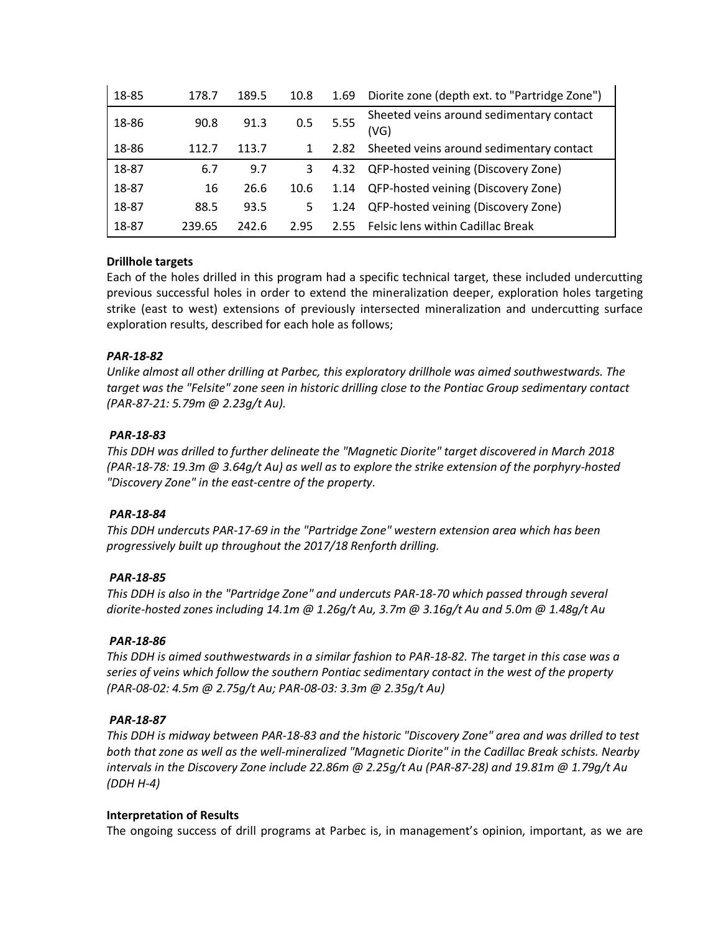| 18-85 | 178.7  | 189.5 | 10.8 | 1.69 | Diorite zone (depth ext. to "Partridge Zone")    |
|-------|--------|-------|------|------|--------------------------------------------------|
| 18-86 | 90.8   | 91.3  | 0.5  | 5.55 | Sheeted veins around sedimentary contact<br>(VG) |
| 18-86 | 112.7  | 113.7 |      | 2.82 | Sheeted veins around sedimentary contact         |
| 18-87 | 6.7    | 9.7   | 3    | 4.32 | QFP-hosted veining (Discovery Zone)              |
| 18-87 | 16     | 26.6  | 10.6 | 1.14 | QFP-hosted veining (Discovery Zone)              |
| 18-87 | 88.5   | 93.5  | 5    | 1.24 | QFP-hosted veining (Discovery Zone)              |
| 18-87 | 239.65 | 242.6 | 2.95 | 2.55 | Felsic lens within Cadillac Break                |

# **Drillhole targets**

Each of the holes drilled in this program had a specific technical target, these included undercutting previous successful holes in order to extend the mineralization deeper, exploration holes targeting strike (east to west) extensions of previously intersected mineralization and undercutting surface exploration results, described for each hole as follows;

## *PAR-18-82*

*Unlike almost all other drilling at Parbec, this exploratory drillhole was aimed southwestwards. The target was the "Felsite" zone seen in historic drilling close to the Pontiac Group sedimentary contact (PAR-87-21: 5.79m @ 2.23g/t Au).*

## *PAR-18-83*

*This DDH was drilled to further delineate the "Magnetic Diorite" target discovered in March 2018 (PAR-18-78: 19.3m @ 3.64g/t Au) as well as to explore the strike extension of the porphyry-hosted "Discovery Zone" in the east-centre of the property.*

### *PAR-18-84*

*This DDH undercuts PAR-17-69 in the "Partridge Zone" western extension area which has been progressively built up throughout the 2017/18 Renforth drilling.*

### *PAR-18-85*

*This DDH is also in the "Partridge Zone" and undercuts PAR-18-70 which passed through several diorite-hosted zones including 14.1m @ 1.26g/t Au, 3.7m @ 3.16g/t Au and 5.0m @ 1.48g/t Au*

### *PAR-18-86*

*This DDH is aimed southwestwards in a similar fashion to PAR-18-82. The target in this case was a series of veins which follow the southern Pontiac sedimentary contact in the west of the property (PAR-08-02: 4.5m @ 2.75g/t Au; PAR-08-03: 3.3m @ 2.35g/t Au)*

### *PAR-18-87*

*This DDH is midway between PAR-18-83 and the historic "Discovery Zone" area and was drilled to test both that zone as well as the well-mineralized "Magnetic Diorite" in the Cadillac Break schists. Nearby intervals in the Discovery Zone include 22.86m @ 2.25g/t Au (PAR-87-28) and 19.81m @ 1.79g/t Au (DDH H-4)*

### **Interpretation of Results**

The ongoing success of drill programs at Parbec is, in management's opinion, important, as we are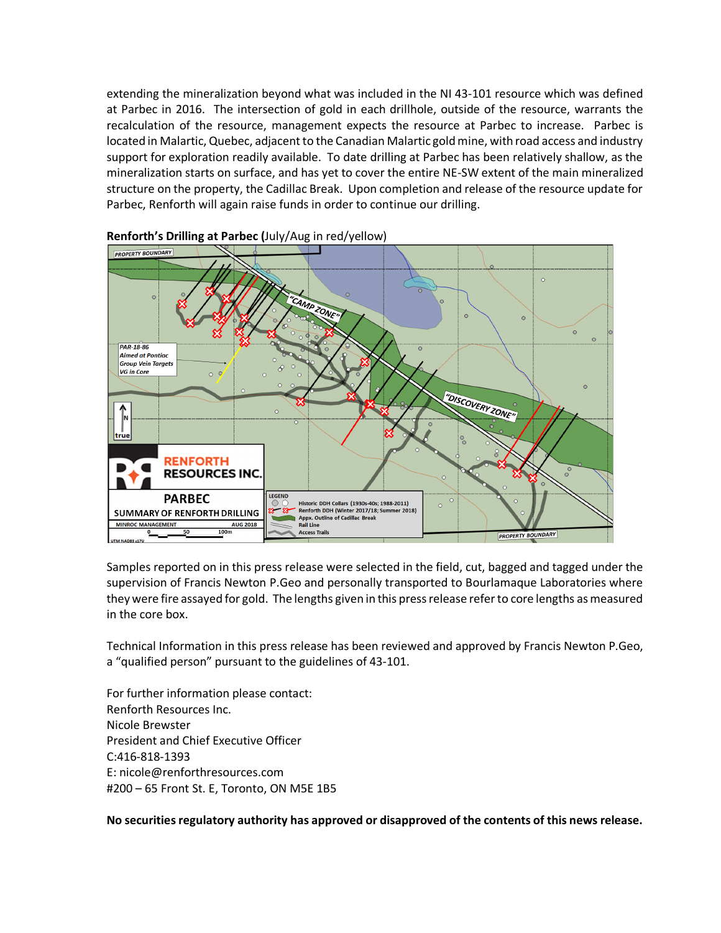extending the mineralization beyond what was included in the NI 43-101 resource which was defined at Parbec in 2016. The intersection of gold in each drillhole, outside of the resource, warrants the recalculation of the resource, management expects the resource at Parbec to increase. Parbec is located in Malartic, Quebec, adjacent to the Canadian Malartic gold mine, with road access and industry support for exploration readily available. To date drilling at Parbec has been relatively shallow, as the mineralization starts on surface, and has yet to cover the entire NE-SW extent of the main mineralized structure on the property, the Cadillac Break. Upon completion and release of the resource update for Parbec, Renforth will again raise funds in order to continue our drilling.



**Renforth's Drilling at Parbec (**July/Aug in red/yellow)

Samples reported on in this press release were selected in the field, cut, bagged and tagged under the supervision of Francis Newton P.Geo and personally transported to Bourlamaque Laboratories where they were fire assayed for gold. The lengths given in this press release refer to core lengths as measured in the core box.

Technical Information in this press release has been reviewed and approved by Francis Newton P.Geo, a "qualified person" pursuant to the guidelines of 43-101.

For further information please contact: Renforth Resources Inc. Nicole Brewster President and Chief Executive Officer C:416-818-1393 E: nicole@renforthresources.com #200 – 65 Front St. E, Toronto, ON M5E 1B5

**No securities regulatory authority has approved or disapproved of the contents of this news release.**